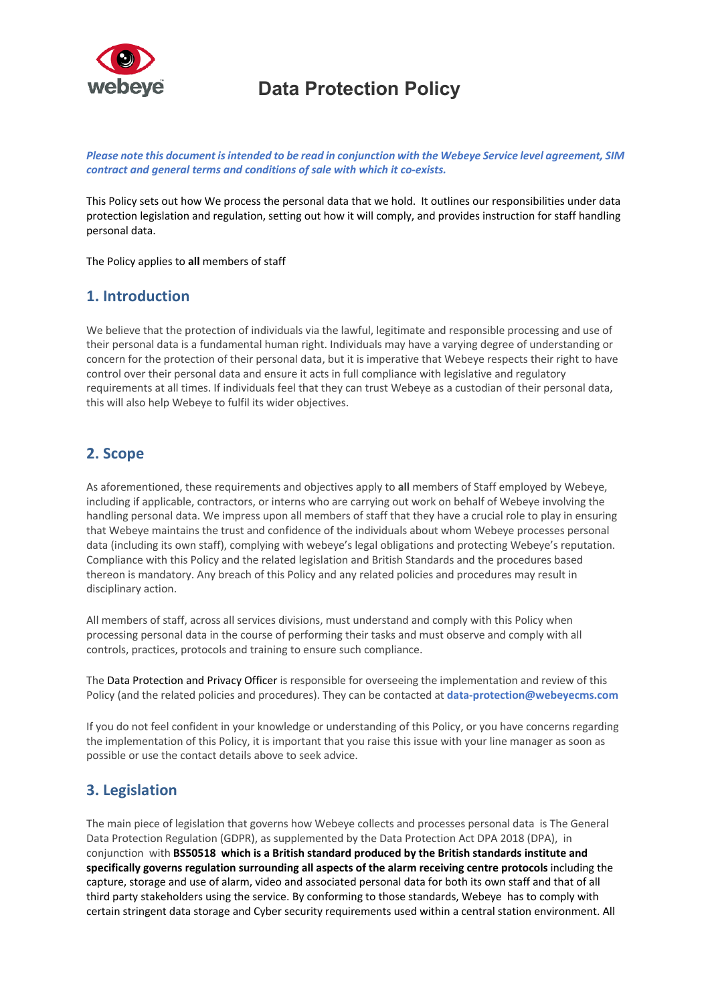

*Please note this document is intended to be read in conjunction with the Webeye Service level agreement, SIM contract and general terms and conditions of sale with which it co-exists.*

This Policy sets out how We process the personal data that we hold. It outlines our responsibilities under data protection legislation and regulation, setting out how it will comply, and provides instruction for staff handling personal data.

The Policy applies to **all** members of staff

## **1. Introduction**

We believe that the protection of individuals via the lawful, legitimate and responsible processing and use of their personal data is a fundamental human right. Individuals may have a varying degree of understanding or concern for the protection of their personal data, but it is imperative that Webeye respects their right to have control over their personal data and ensure it acts in full compliance with legislative and regulatory requirements at all times. If individuals feel that they can trust Webeye as a custodian of their personal data, this will also help Webeye to fulfil its wider objectives.

## **2. Scope**

As aforementioned, these requirements and objectives apply to **all** members of Staff employed by Webeye, including if applicable, contractors, or interns who are carrying out work on behalf of Webeye involving the handling personal data. We impress upon all members of staff that they have a crucial role to play in ensuring that Webeye maintains the trust and confidence of the individuals about whom Webeye processes personal data (including its own staff), complying with webeye's legal obligations and protecting Webeye's reputation. Compliance with this Policy and the related legislation and British Standards and the procedures based thereon is mandatory. Any breach of this Policy and any related policies and procedures may result in disciplinary action.

All members of staff, across all services divisions, must understand and comply with this Policy when processing personal data in the course of performing their tasks and must observe and comply with all controls, practices, protocols and training to ensure such compliance.

The Data Protection and Privacy Officer is responsible for overseeing the implementation and review of this Policy (and the related policies and procedures). They can be contacted at **data-protection@webeyecms.com**

If you do not feel confident in your knowledge or understanding of this Policy, or you have concerns regarding the implementation of this Policy, it is important that you raise this issue with your line manager as soon as possible or use the contact details above to seek advice.

## **3. Legislation**

The main piece of legislation that governs how Webeye collects and processes personal data is The General Data Protection Regulation (GDPR), as supplemented by the Data Protection Act DPA 2018 (DPA), in conjunction with **BS50518 which is a British standard produced by the British standards institute and specifically governs regulation surrounding all aspects of the alarm receiving centre protocols** including the capture, storage and use of alarm, video and associated personal data for both its own staff and that of all third party stakeholders using the service. By conforming to those standards, Webeye has to comply with certain stringent data storage and Cyber security requirements used within a central station environment. All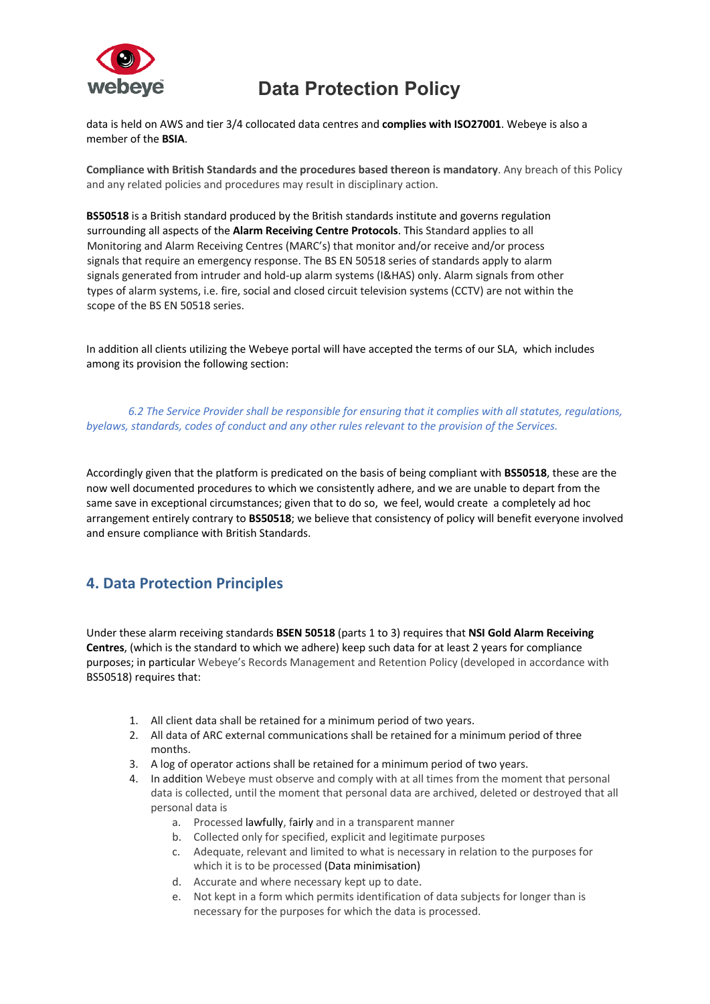

data is held on AWS and tier 3/4 collocated data centres and **complies with ISO27001**. Webeye is also a member of the **BSIA**.

**Compliance with British Standards and the procedures based thereon is mandatory**. Any breach of this Policy and any related policies and procedures may result in disciplinary action.

**BS50518** is a British standard produced by the British standards institute and governs regulation surrounding all aspects of the **Alarm Receiving Centre Protocols**. This Standard applies to all Monitoring and Alarm Receiving Centres (MARC's) that monitor and/or receive and/or process signals that require an emergency response. The BS EN 50518 series of standards apply to alarm signals generated from intruder and hold-up alarm systems (I&HAS) only. Alarm signals from other types of alarm systems, i.e. fire, social and closed circuit television systems (CCTV) are not within the scope of the BS EN 50518 series.

In addition all clients utilizing the Webeye portal will have accepted the terms of our SLA, which includes among its provision the following section:

*6.2 The Service Provider shall be responsible for ensuring that it complies with all statutes, regulations, byelaws, standards, codes of conduct and any other rules relevant to the provision of the Services.*

Accordingly given that the platform is predicated on the basis of being compliant with **BS50518**, these are the now well documented procedures to which we consistently adhere, and we are unable to depart from the same save in exceptional circumstances; given that to do so, we feel, would create a completely ad hoc arrangement entirely contrary to **BS50518**; we believe that consistency of policy will benefit everyone involved and ensure compliance with British Standards.

## **4. Data Protection Principles**

Under these alarm receiving standards **BSEN 50518** (parts 1 to 3) requires that **NSI Gold Alarm Receiving Centres**, (which is the standard to which we adhere) keep such data for at least 2 years for compliance purposes; in particular Webeye's Records Management and Retention Policy (developed in accordance with BS50518) requires that:

- 1. All client data shall be retained for a minimum period of two years.
- 2. All data of ARC external communications shall be retained for a minimum period of three months.
- 3. A log of operator actions shall be retained for a minimum period of two years.
- 4. In addition Webeye must observe and comply with at all times from the moment that personal data is collected, until the moment that personal data are archived, deleted or destroyed that all personal data is
	- a. Processed lawfully, fairly and in a transparent manner
	- b. Collected only for specified, explicit and legitimate purposes
	- c. Adequate, relevant and limited to what is necessary in relation to the purposes for which it is to be processed (Data minimisation)
	- d. Accurate and where necessary kept up to date.
	- e. Not kept in a form which permits identification of data subjects for longer than is necessary for the purposes for which the data is processed.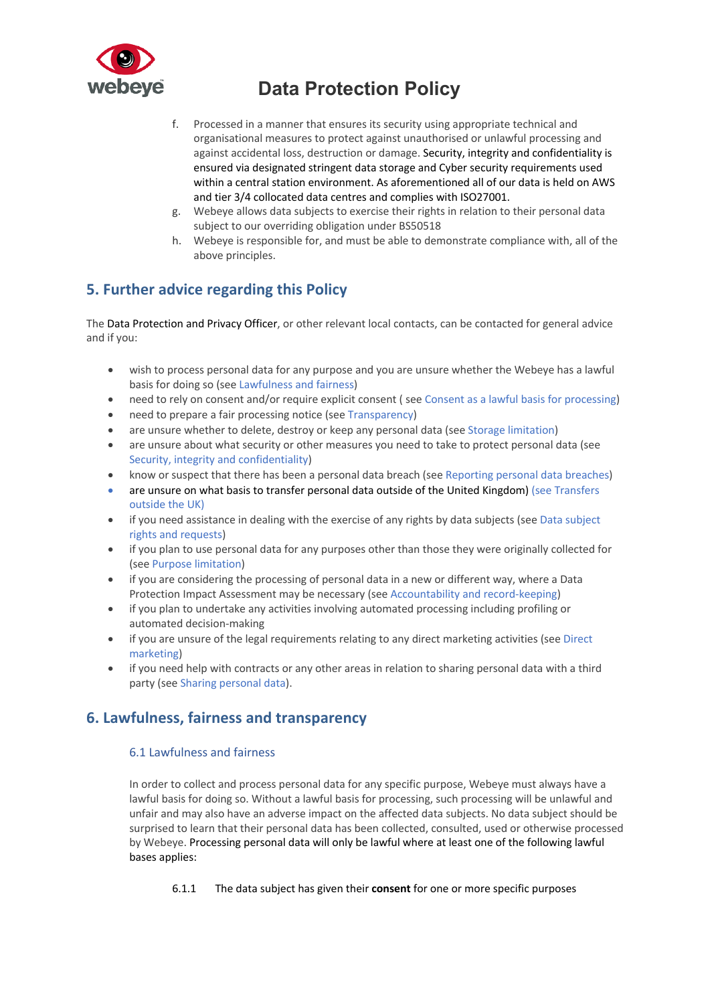

- f. Processed in a manner that ensures its security using appropriate technical and organisational measures to protect against unauthorised or unlawful processing and against accidental loss, destruction or damage. Security, integrity and confidentiality is ensured via designated stringent data storage and Cyber security requirements used within a central station environment. As aforementioned all of our data is held on AWS and tier 3/4 collocated data centres and complies with ISO27001.
- g. Webeye allows data subjects to exercise their rights in relation to their personal data subject to our overriding obligation under BS50518
- h. Webeye is responsible for, and must be able to demonstrate compliance with, all of the above principles.

## **5. Further advice regarding this Policy**

The Data Protection and Privacy Officer, or other relevant local contacts, can be contacted for general advice and if you:

- wish to process personal data for any purpose and you are unsure whether the Webeye has a lawful basis for doing so (see Lawfulness and fairness)
- need to rely on consent and/or require explicit consent (see Consent as a lawful basis for processing)
- need to prepare a fair processing notice (see Transparency)
- are unsure whether to delete, destroy or keep any personal data (see Storage limitation)
- are unsure about what security or other measures you need to take to protect personal data (see Security, integrity and confidentiality)
- know or suspect that there has been a personal data breach (see Reporting personal data breaches)
- are unsure on what basis to transfer personal data outside of the United Kingdom) (see Transfers outside the UK)
- if you need assistance in dealing with the exercise of any rights by data subjects (see Data subject rights and requests)
- if you plan to use personal data for any purposes other than those they were originally collected for (see Purpose limitation)
- if you are considering the processing of personal data in a new or different way, where a Data Protection Impact Assessment may be necessary (see Accountability and record-keeping)
- if you plan to undertake any activities involving automated processing including profiling or automated decision-making
- if you are unsure of the legal requirements relating to any direct marketing activities (see Direct marketing)
- if you need help with contracts or any other areas in relation to sharing personal data with a third party (see Sharing personal data).

## **6. Lawfulness, fairness and transparency**

### 6.1 Lawfulness and fairness

In order to collect and process personal data for any specific purpose, Webeye must always have a lawful basis for doing so. Without a lawful basis for processing, such processing will be unlawful and unfair and may also have an adverse impact on the affected data subjects. No data subject should be surprised to learn that their personal data has been collected, consulted, used or otherwise processed by Webeye. Processing personal data will only be lawful where at least one of the following lawful bases applies:

6.1.1 The data subject has given their **consent** for one or more specific purposes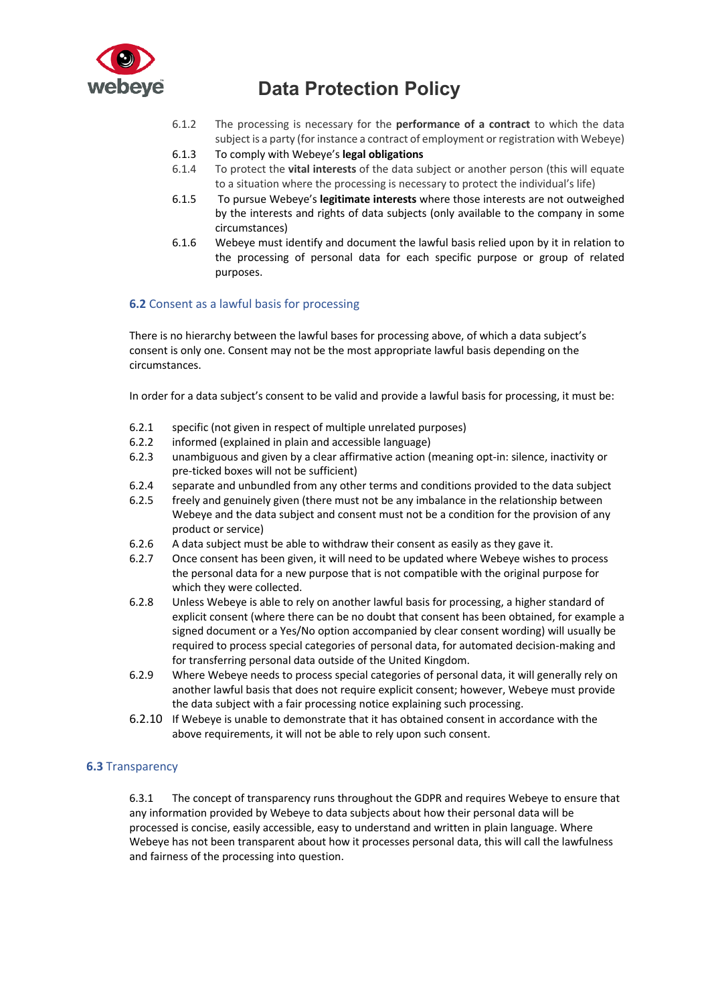

- 6.1.2 The processing is necessary for the **performance of a contract** to which the data subject is a party (for instance a contract of employment or registration with Webeye)
- 6.1.3 To comply with Webeye's **legal obligations**
- 6.1.4 To protect the **vital interests** of the data subject or another person (this will equate to a situation where the processing is necessary to protect the individual's life)
- 6.1.5 To pursue Webeye's **legitimate interests** where those interests are not outweighed by the interests and rights of data subjects (only available to the company in some circumstances)
- 6.1.6 Webeye must identify and document the lawful basis relied upon by it in relation to the processing of personal data for each specific purpose or group of related purposes.

### **6.2** Consent as a lawful basis for processing

There is no hierarchy between the lawful bases for processing above, of which a data subject's consent is only one. Consent may not be the most appropriate lawful basis depending on the circumstances.

In order for a data subject's consent to be valid and provide a lawful basis for processing, it must be:

- 6.2.1 specific (not given in respect of multiple unrelated purposes)
- 6.2.2 informed (explained in plain and accessible language)
- 6.2.3 unambiguous and given by a clear affirmative action (meaning opt-in: silence, inactivity or pre-ticked boxes will not be sufficient)
- 6.2.4 separate and unbundled from any other terms and conditions provided to the data subject
- 6.2.5 freely and genuinely given (there must not be any imbalance in the relationship between Webeye and the data subject and consent must not be a condition for the provision of any product or service)
- 6.2.6 A data subject must be able to withdraw their consent as easily as they gave it.
- 6.2.7 Once consent has been given, it will need to be updated where Webeye wishes to process the personal data for a new purpose that is not compatible with the original purpose for which they were collected.
- 6.2.8 Unless Webeye is able to rely on another lawful basis for processing, a higher standard of explicit consent (where there can be no doubt that consent has been obtained, for example a signed document or a Yes/No option accompanied by clear consent wording) will usually be required to process special categories of personal data, for automated decision-making and for transferring personal data outside of the United Kingdom.
- 6.2.9 Where Webeye needs to process special categories of personal data, it will generally rely on another lawful basis that does not require explicit consent; however, Webeye must provide the data subject with a fair processing notice explaining such processing.
- 6.2.10 If Webeye is unable to demonstrate that it has obtained consent in accordance with the above requirements, it will not be able to rely upon such consent.

### **6.3** Transparency

6.3.1 The concept of transparency runs throughout the GDPR and requires Webeye to ensure that any information provided by Webeye to data subjects about how their personal data will be processed is concise, easily accessible, easy to understand and written in plain language. Where Webeye has not been transparent about how it processes personal data, this will call the lawfulness and fairness of the processing into question.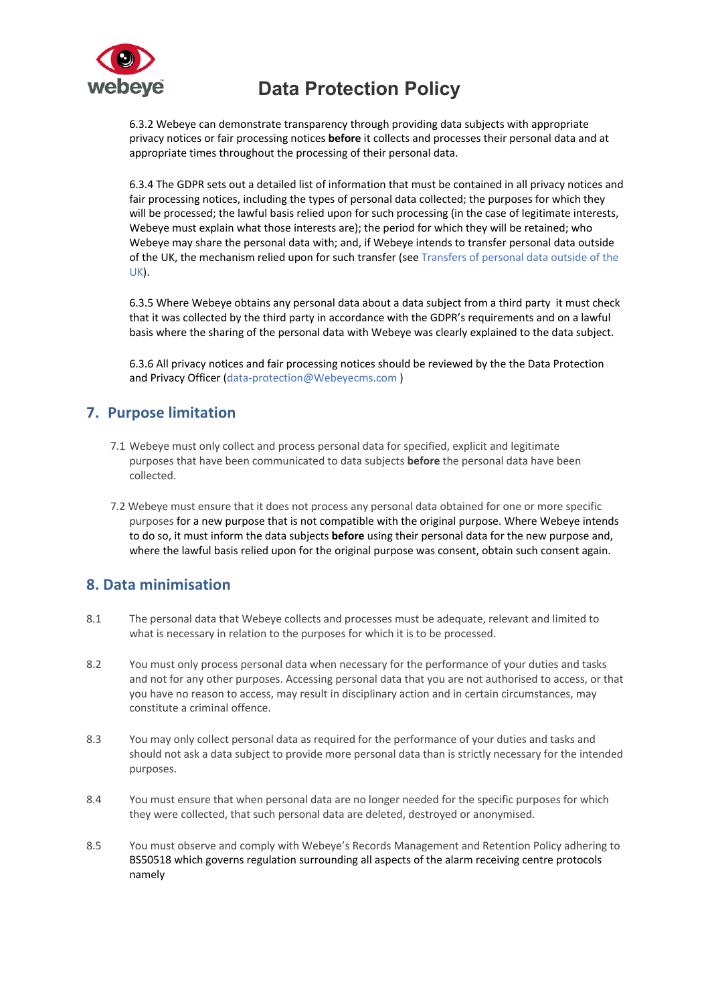

6.3.2 Webeye can demonstrate transparency through providing data subjects with appropriate privacy notices or fair processing notices **before** it collects and processes their personal data and at appropriate times throughout the processing of their personal data.

6.3.4 The GDPR sets out a detailed list of information that must be contained in all privacy notices and fair processing notices, including the types of personal data collected; the purposes for which they will be processed; the lawful basis relied upon for such processing (in the case of legitimate interests, Webeye must explain what those interests are); the period for which they will be retained; who Webeye may share the personal data with; and, if Webeye intends to transfer personal data outside of the UK, the mechanism relied upon for such transfer (see Transfers of personal data outside of the UK).

6.3.5 Where Webeye obtains any personal data about a data subject from a third party it must check that it was collected by the third party in accordance with the GDPR's requirements and on a lawful basis where the sharing of the personal data with Webeye was clearly explained to the data subject.

6.3.6 All privacy notices and fair processing notices should be reviewed by the the Data Protection and Privacy Officer (data-protection@Webeyecms.com )

## **7. Purpose limitation**

- 7.1 Webeye must only collect and process personal data for specified, explicit and legitimate purposes that have been communicated to data subjects **before** the personal data have been collected.
- 7.2 Webeye must ensure that it does not process any personal data obtained for one or more specific purposes for a new purpose that is not compatible with the original purpose. Where Webeye intends to do so, it must inform the data subjects **before** using their personal data for the new purpose and, where the lawful basis relied upon for the original purpose was consent, obtain such consent again.

## **8. Data minimisation**

- 8.1 The personal data that Webeye collects and processes must be adequate, relevant and limited to what is necessary in relation to the purposes for which it is to be processed.
- 8.2 You must only process personal data when necessary for the performance of your duties and tasks and not for any other purposes. Accessing personal data that you are not authorised to access, or that you have no reason to access, may result in disciplinary action and in certain circumstances, may constitute a criminal offence.
- 8.3 You may only collect personal data as required for the performance of your duties and tasks and should not ask a data subject to provide more personal data than is strictly necessary for the intended purposes.
- 8.4 You must ensure that when personal data are no longer needed for the specific purposes for which they were collected, that such personal data are deleted, destroyed or anonymised.
- 8.5 You must observe and comply with Webeye's Records Management and Retention Policy adhering to BS50518 which governs regulation surrounding all aspects of the alarm receiving centre protocols namely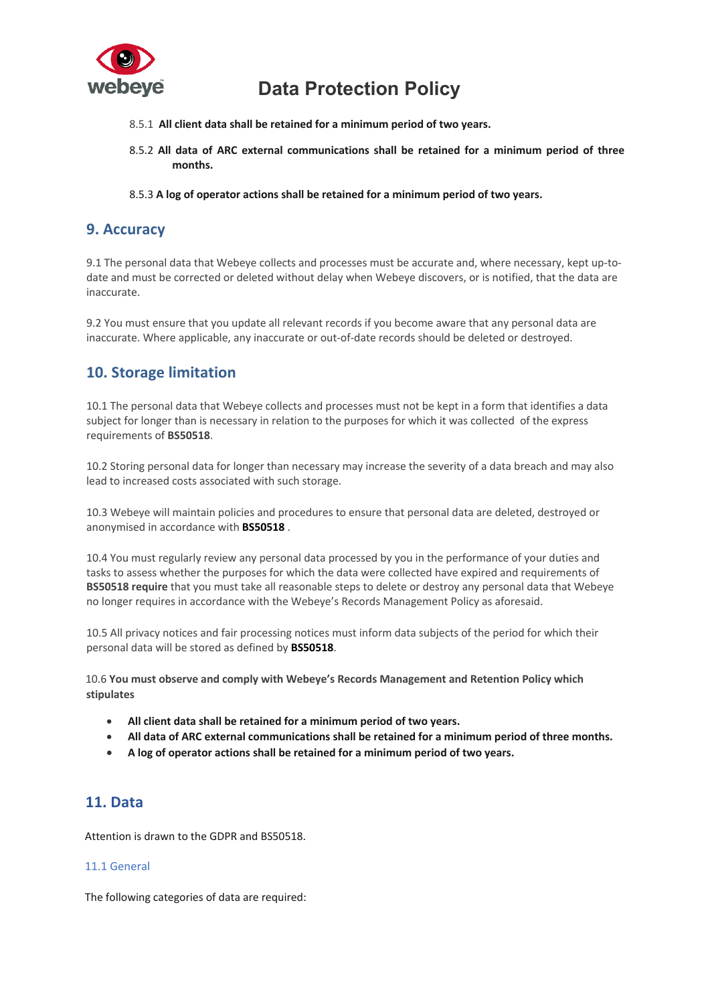

- 8.5.1 **All client data shall be retained for a minimum period of two years.**
- 8.5.2 **All data of ARC external communications shall be retained for a minimum period of three months.**
- 8.5.3 **A log of operator actions shall be retained for a minimum period of two years.**

## **9. Accuracy**

9.1 The personal data that Webeye collects and processes must be accurate and, where necessary, kept up-todate and must be corrected or deleted without delay when Webeye discovers, or is notified, that the data are inaccurate.

9.2 You must ensure that you update all relevant records if you become aware that any personal data are inaccurate. Where applicable, any inaccurate or out-of-date records should be deleted or destroyed.

## **10. Storage limitation**

10.1 The personal data that Webeye collects and processes must not be kept in a form that identifies a data subject for longer than is necessary in relation to the purposes for which it was collected of the express requirements of **BS50518**.

10.2 Storing personal data for longer than necessary may increase the severity of a data breach and may also lead to increased costs associated with such storage.

10.3 Webeye will maintain policies and procedures to ensure that personal data are deleted, destroyed or anonymised in accordance with **BS50518** .

10.4 You must regularly review any personal data processed by you in the performance of your duties and tasks to assess whether the purposes for which the data were collected have expired and requirements of **BS50518 require** that you must take all reasonable steps to delete or destroy any personal data that Webeye no longer requires in accordance with the Webeye's Records Management Policy as aforesaid.

10.5 All privacy notices and fair processing notices must inform data subjects of the period for which their personal data will be stored as defined by **BS50518**.

10.6 **You must observe and comply with Webeye's Records Management and Retention Policy which stipulates**

- **All client data shall be retained for a minimum period of two years.**
- **All data of ARC external communications shall be retained for a minimum period of three months.**
- **A log of operator actions shall be retained for a minimum period of two years.**

## **11. Data**

Attention is drawn to the GDPR and BS50518.

### 11.1 General

The following categories of data are required: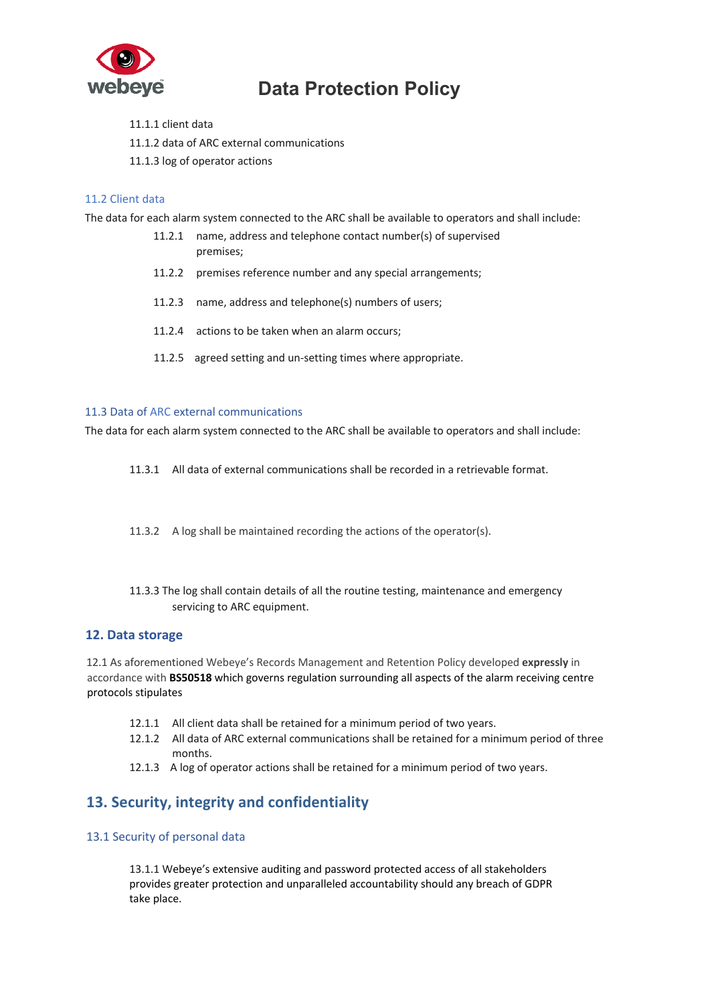

- 11.1.1 client data
- 11.1.2 data of ARC external communications
- 11.1.3 log of operator actions

### 11.2 Client data

The data for each alarm system connected to the ARC shall be available to operators and shall include:

- 11.2.1 name, address and telephone contact number(s) of supervised premises;
- 11.2.2 premises reference number and any special arrangements;
- 11.2.3 name, address and telephone(s) numbers of users;
- 11.2.4 actions to be taken when an alarm occurs;
- 11.2.5 agreed setting and un-setting times where appropriate.

#### 11.3 Data of ARC external communications

The data for each alarm system connected to the ARC shall be available to operators and shall include:

- 11.3.1 All data of external communications shall be recorded in a retrievable format.
- 11.3.2 A log shall be maintained recording the actions of the operator(s).
- 11.3.3 The log shall contain details of all the routine testing, maintenance and emergency servicing to ARC equipment.

### **12. Data storage**

12.1 As aforementioned Webeye's Records Management and Retention Policy developed **expressly** in accordance with **BS50518** which governs regulation surrounding all aspects of the alarm receiving centre protocols stipulates

- 12.1.1 All client data shall be retained for a minimum period of two years.
- 12.1.2 All data of ARC external communications shall be retained for a minimum period of three months.
- 12.1.3 A log of operator actions shall be retained for a minimum period of two years.

## **13. Security, integrity and confidentiality**

### 13.1 Security of personal data

13.1.1 Webeye's extensive auditing and password protected access of all stakeholders provides greater protection and unparalleled accountability should any breach of GDPR take place.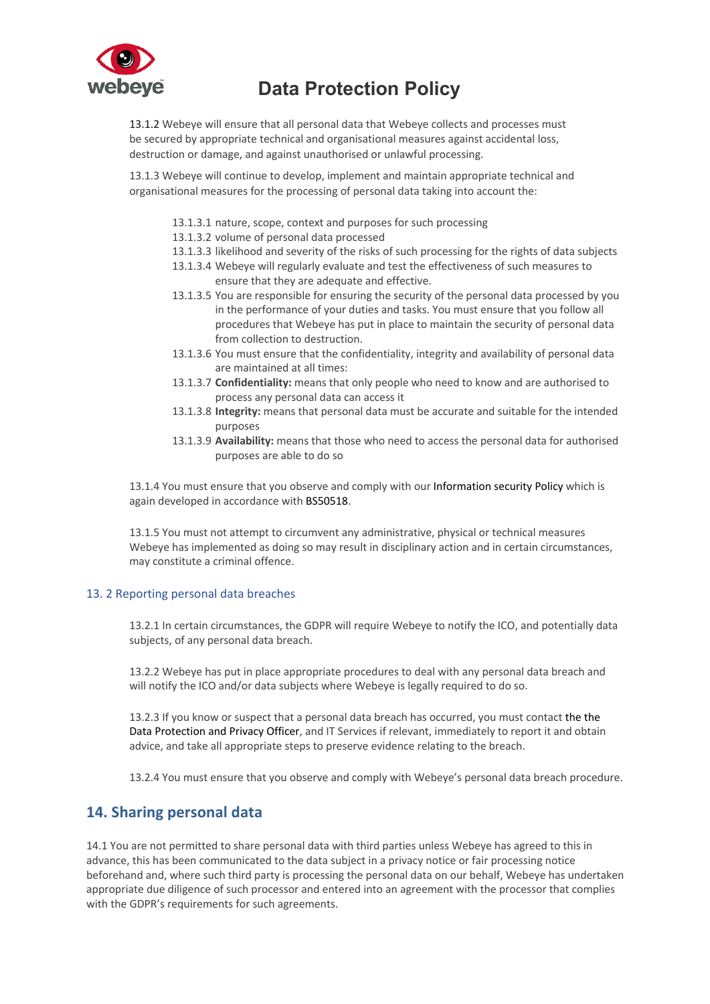

13.1.2 Webeye will ensure that all personal data that Webeye collects and processes must be secured by appropriate technical and organisational measures against accidental loss, destruction or damage, and against unauthorised or unlawful processing.

13.1.3 Webeye will continue to develop, implement and maintain appropriate technical and organisational measures for the processing of personal data taking into account the:

- 13.1.3.1 nature, scope, context and purposes for such processing
- 13.1.3.2 volume of personal data processed
- 13.1.3.3 likelihood and severity of the risks of such processing for the rights of data subjects
- 13.1.3.4 Webeye will regularly evaluate and test the effectiveness of such measures to ensure that they are adequate and effective.
- 13.1.3.5 You are responsible for ensuring the security of the personal data processed by you in the performance of your duties and tasks. You must ensure that you follow all procedures that Webeye has put in place to maintain the security of personal data from collection to destruction.
- 13.1.3.6 You must ensure that the confidentiality, integrity and availability of personal data are maintained at all times:
- 13.1.3.7 **Confidentiality:** means that only people who need to know and are authorised to process any personal data can access it
- 13.1.3.8 **Integrity:** means that personal data must be accurate and suitable for the intended purposes
- 13.1.3.9 **Availability:** means that those who need to access the personal data for authorised purposes are able to do so

13.1.4 You must ensure that you observe and comply with our Information security Policy which is again developed in accordance with BS50518.

13.1.5 You must not attempt to circumvent any administrative, physical or technical measures Webeye has implemented as doing so may result in disciplinary action and in certain circumstances, may constitute a criminal offence.

### 13. 2 Reporting personal data breaches

13.2.1 In certain circumstances, the GDPR will require Webeye to notify the ICO, and potentially data subjects, of any personal data breach.

13.2.2 Webeye has put in place appropriate procedures to deal with any personal data breach and will notify the ICO and/or data subjects where Webeye is legally required to do so.

13.2.3 If you know or suspect that a personal data breach has occurred, you must contact the the Data Protection and Privacy Officer, and IT Services if relevant, immediately to report it and obtain advice, and take all appropriate steps to preserve evidence relating to the breach.

13.2.4 You must ensure that you observe and comply with Webeye's personal data breach procedure.

## **14. Sharing personal data**

14.1 You are not permitted to share personal data with third parties unless Webeye has agreed to this in advance, this has been communicated to the data subject in a privacy notice or fair processing notice beforehand and, where such third party is processing the personal data on our behalf, Webeye has undertaken appropriate due diligence of such processor and entered into an agreement with the processor that complies with the GDPR's requirements for such agreements.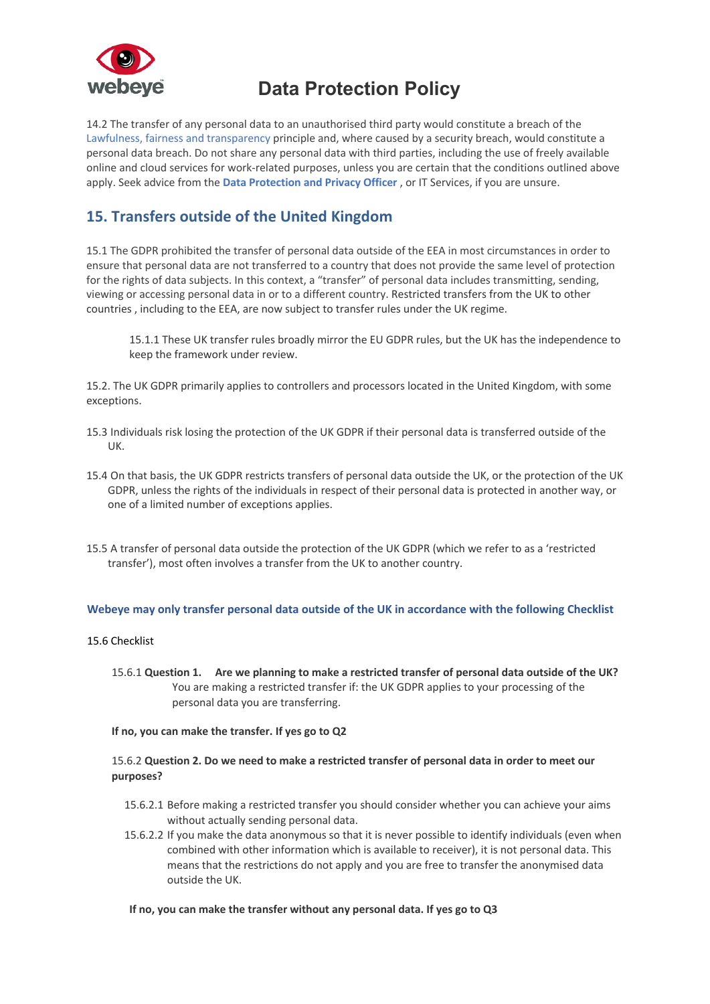

14.2 The transfer of any personal data to an unauthorised third party would constitute a breach of the Lawfulness, fairness and transparency principle and, where caused by a security breach, would constitute a personal data breach. Do not share any personal data with third parties, including the use of freely available online and cloud services for work-related purposes, unless you are certain that the conditions outlined above apply. Seek advice from the **Data Protection and Privacy Officer** , or IT Services, if you are unsure.

## **15. Transfers outside of the United Kingdom**

15.1 The GDPR prohibited the transfer of personal data outside of the EEA in most circumstances in order to ensure that personal data are not transferred to a country that does not provide the same level of protection for the rights of data subjects. In this context, a "transfer" of personal data includes transmitting, sending, viewing or accessing personal data in or to a different country. Restricted transfers from the UK to other countries , including to the EEA, are now subject to transfer rules under the UK regime.

15.1.1 These UK transfer rules broadly mirror the EU GDPR rules, but the UK has the independence to keep the framework under review.

15.2. The UK GDPR primarily applies to controllers and processors located in the United Kingdom, with some exceptions.

- 15.3 Individuals risk losing the protection of the UK GDPR if their personal data is transferred outside of the UK.
- 15.4 On that basis, the UK GDPR restricts transfers of personal data outside the UK, or the protection of the UK GDPR, unless the rights of the individuals in respect of their personal data is protected in another way, or one of a limited number of exceptions applies.
- 15.5 A transfer of personal data outside the protection of the UK GDPR (which we refer to as a 'restricted transfer'), most often involves a transfer from the UK to another country.

### **Webeye may only transfer personal data outside of the UK in accordance with the following Checklist**

### 15.6 Checklist

15.6.1 **Question 1. Are we planning to make a restricted transfer of personal data outside of the UK?** You are making a restricted transfer if: the UK GDPR applies to your processing of the personal data you are transferring.

### **If no, you can make the transfer. If yes go to Q2**

### 15.6.2 **Question 2. Do we need to make a restricted transfer of personal data in order to meet our purposes?**

- 15.6.2.1 Before making a restricted transfer you should consider whether you can achieve your aims without actually sending personal data.
- 15.6.2.2 If you make the data anonymous so that it is never possible to identify individuals (even when combined with other information which is available to receiver), it is not personal data. This means that the restrictions do not apply and you are free to transfer the anonymised data outside the UK.

### **If no, you can make the transfer without any personal data. If yes go to Q3**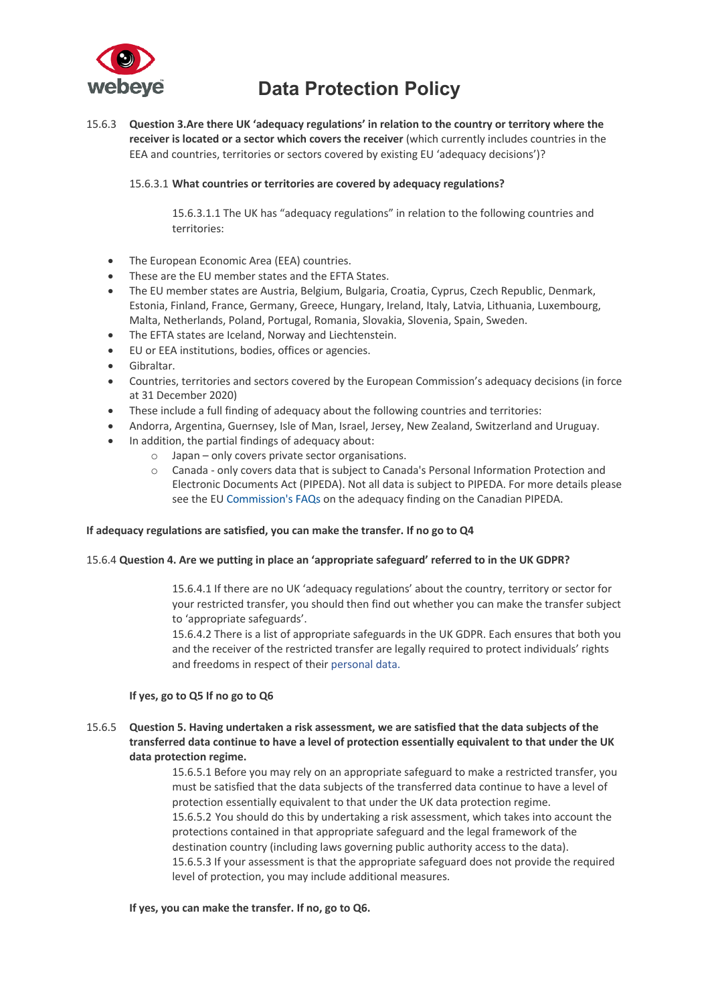

15.6.3 **Question 3.Are there UK 'adequacy regulations' in relation to the country or territory where the receiver is located or a sector which covers the receiver** (which currently includes countries in the EEA and countries, territories or sectors covered by existing EU 'adequacy decisions')?

### 15.6.3.1 **What countries or territories are covered by adequacy regulations?**

15.6.3.1.1 The UK has "adequacy regulations" in relation to the following countries and territories:

- The European Economic Area (EEA) countries.
- These are the EU member states and the EFTA States.
- The EU member states are Austria, Belgium, Bulgaria, Croatia, Cyprus, Czech Republic, Denmark, Estonia, Finland, France, Germany, Greece, Hungary, Ireland, Italy, Latvia, Lithuania, Luxembourg, Malta, Netherlands, Poland, Portugal, Romania, Slovakia, Slovenia, Spain, Sweden.
- The EFTA states are Iceland, Norway and Liechtenstein.
- EU or EEA institutions, bodies, offices or agencies.
- Gibraltar.
- Countries, territories and sectors covered by the European Commission's adequacy decisions (in force at 31 December 2020)
- These include a full finding of adequacy about the following countries and territories:
- Andorra, Argentina, Guernsey, Isle of Man, Israel, Jersey, New Zealand, Switzerland and Uruguay.
- In addition, the partial findings of adequacy about:
	- o Japan only covers private sector organisations.
		- o Canada only covers data that is subject to Canada's Personal Information Protection and Electronic Documents Act (PIPEDA). Not all data is subject to PIPEDA. For more details please see the EU Commission's FAQs on the adequacy finding on the Canadian PIPEDA.

### **If adequacy regulations are satisfied, you can make the transfer. If no go to Q4**

### 15.6.4 **Question 4. Are we putting in place an 'appropriate safeguard' referred to in the UK GDPR?**

15.6.4.1 If there are no UK 'adequacy regulations' about the country, territory or sector for your restricted transfer, you should then find out whether you can make the transfer subject to 'appropriate safeguards'.

15.6.4.2 There is a list of appropriate safeguards in the UK GDPR. Each ensures that both you and the receiver of the restricted transfer are legally required to protect individuals' rights and freedoms in respect of their personal data.

### **If yes, go to Q5 If no go to Q6**

15.6.5 **Question 5. Having undertaken a risk assessment, we are satisfied that the data subjects of the transferred data continue to have a level of protection essentially equivalent to that under the UK data protection regime.**

> 15.6.5.1 Before you may rely on an appropriate safeguard to make a restricted transfer, you must be satisfied that the data subjects of the transferred data continue to have a level of protection essentially equivalent to that under the UK data protection regime. 15.6.5.2 You should do this by undertaking a risk assessment, which takes into account the protections contained in that appropriate safeguard and the legal framework of the destination country (including laws governing public authority access to the data). 15.6.5.3 If your assessment is that the appropriate safeguard does not provide the required level of protection, you may include additional measures.

### **If yes, you can make the transfer. If no, go to Q6.**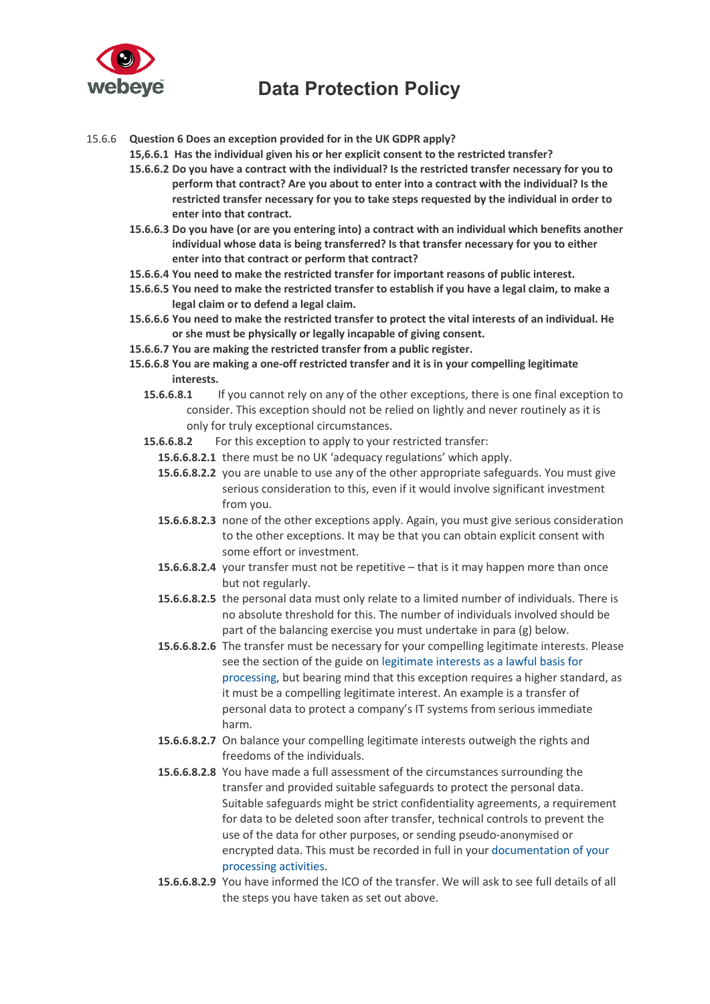

15.6.6 **Question 6 Does an exception provided for in the UK GDPR apply?**

**15,6.6.1 Has the individual given his or her explicit consent to the restricted transfer?**

- **15.6.6.2 Do you have a contract with the individual? Is the restricted transfer necessary for you to perform that contract? Are you about to enter into a contract with the individual? Is the restricted transfer necessary for you to take steps requested by the individual in order to enter into that contract.**
- **15.6.6.3 Do you have (or are you entering into) a contract with an individual which benefits another individual whose data is being transferred? Is that transfer necessary for you to either enter into that contract or perform that contract?**
- **15.6.6.4 You need to make the restricted transfer for important reasons of public interest.**
- **15.6.6.5 You need to make the restricted transfer to establish if you have a legal claim, to make a legal claim or to defend a legal claim.**
- **15.6.6.6 You need to make the restricted transfer to protect the vital interests of an individual. He or she must be physically or legally incapable of giving consent.**
- **15.6.6.7 You are making the restricted transfer from a public register.**
- **15.6.6.8 You are making a one-off restricted transfer and it is in your compelling legitimate interests.**
	- **15.6.6.8.1** If you cannot rely on any of the other exceptions, there is one final exception to consider. This exception should not be relied on lightly and never routinely as it is only for truly exceptional circumstances.
	- **15.6.6.8.2** For this exception to apply to your restricted transfer:
		- **15.6.6.8.2.1** there must be no UK 'adequacy regulations' which apply.
		- **15.6.6.8.2.2** you are unable to use any of the other appropriate safeguards. You must give serious consideration to this, even if it would involve significant investment from you.
		- **15.6.6.8.2.3** none of the other exceptions apply. Again, you must give serious consideration to the other exceptions. It may be that you can obtain explicit consent with some effort or investment.
		- **15.6.6.8.2.4** your transfer must not be repetitive that is it may happen more than once but not regularly.
		- **15.6.6.8.2.5** the personal data must only relate to a limited number of individuals. There is no absolute threshold for this. The number of individuals involved should be part of the balancing exercise you must undertake in para (g) below.
		- **15.6.6.8.2.6** The transfer must be necessary for your compelling legitimate interests. Please see the section of the guide on legitimate interests as a lawful basis for processing, but bearing mind that this exception requires a higher standard, as it must be a compelling legitimate interest. An example is a transfer of personal data to protect a company's IT systems from serious immediate harm.
		- **15.6.6.8.2.7** On balance your compelling legitimate interests outweigh the rights and freedoms of the individuals.
		- **15.6.6.8.2.8** You have made a full assessment of the circumstances surrounding the transfer and provided suitable safeguards to protect the personal data. Suitable safeguards might be strict confidentiality agreements, a requirement for data to be deleted soon after transfer, technical controls to prevent the use of the data for other purposes, or sending pseudo-anonymised or encrypted data. This must be recorded in full in your documentation of your processing activities.
		- **15.6.6.8.2.9** You have informed the ICO of the transfer. We will ask to see full details of all the steps you have taken as set out above.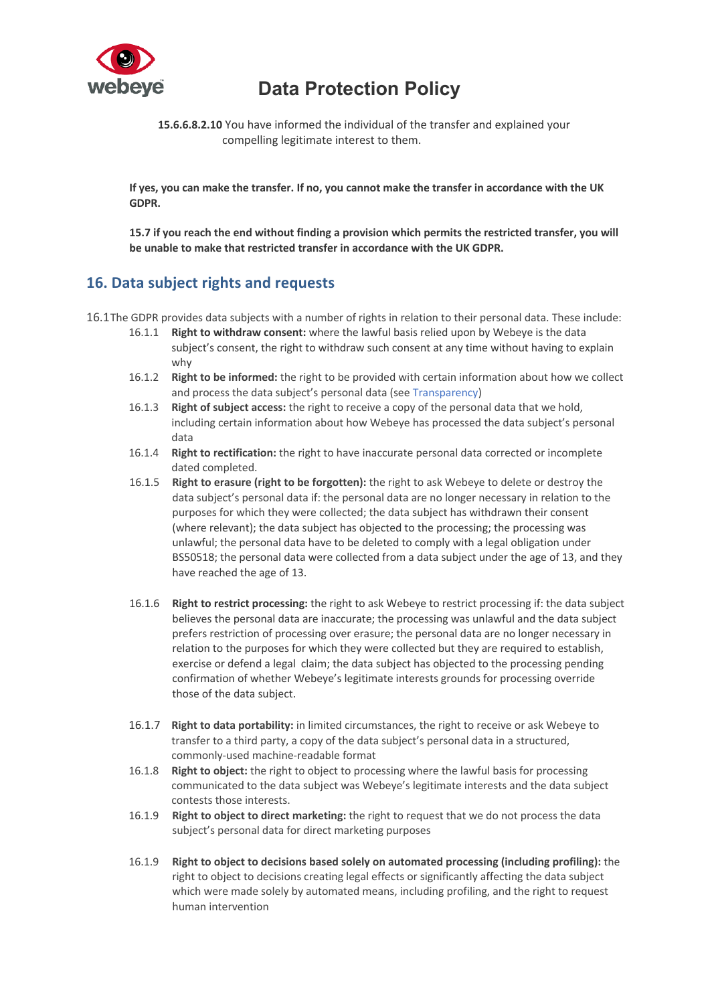

**15.6.6.8.2.10** You have informed the individual of the transfer and explained your compelling legitimate interest to them.

**If yes, you can make the transfer. If no, you cannot make the transfer in accordance with the UK GDPR.**

**15.7 if you reach the end without finding a provision which permits the restricted transfer, you will be unable to make that restricted transfer in accordance with the UK GDPR.**

## **16. Data subject rights and requests**

- 16.1The GDPR provides data subjects with a number of rights in relation to their personal data. These include:
	- 16.1.1 **Right to withdraw consent:** where the lawful basis relied upon by Webeye is the data subject's consent, the right to withdraw such consent at any time without having to explain why
	- 16.1.2 **Right to be informed:** the right to be provided with certain information about how we collect and process the data subject's personal data (see Transparency)
	- 16.1.3 **Right of subject access:** the right to receive a copy of the personal data that we hold, including certain information about how Webeye has processed the data subject's personal data
	- 16.1.4 **Right to rectification:** the right to have inaccurate personal data corrected or incomplete dated completed.
	- 16.1.5 **Right to erasure (right to be forgotten):** the right to ask Webeye to delete or destroy the data subject's personal data if: the personal data are no longer necessary in relation to the purposes for which they were collected; the data subject has withdrawn their consent (where relevant); the data subject has objected to the processing; the processing was unlawful; the personal data have to be deleted to comply with a legal obligation under BS50518; the personal data were collected from a data subject under the age of 13, and they have reached the age of 13.
	- 16.1.6 **Right to restrict processing:** the right to ask Webeye to restrict processing if: the data subject believes the personal data are inaccurate; the processing was unlawful and the data subject prefers restriction of processing over erasure; the personal data are no longer necessary in relation to the purposes for which they were collected but they are required to establish, exercise or defend a legal claim; the data subject has objected to the processing pending confirmation of whether Webeye's legitimate interests grounds for processing override those of the data subject.
	- 16.1.7 **Right to data portability:** in limited circumstances, the right to receive or ask Webeye to transfer to a third party, a copy of the data subject's personal data in a structured, commonly-used machine-readable format
	- 16.1.8 **Right to object:** the right to object to processing where the lawful basis for processing communicated to the data subject was Webeye's legitimate interests and the data subject contests those interests.
	- 16.1.9 **Right to object to direct marketing:** the right to request that we do not process the data subject's personal data for direct marketing purposes
	- 16.1.9 **Right to object to decisions based solely on automated processing (including profiling):** the right to object to decisions creating legal effects or significantly affecting the data subject which were made solely by automated means, including profiling, and the right to request human intervention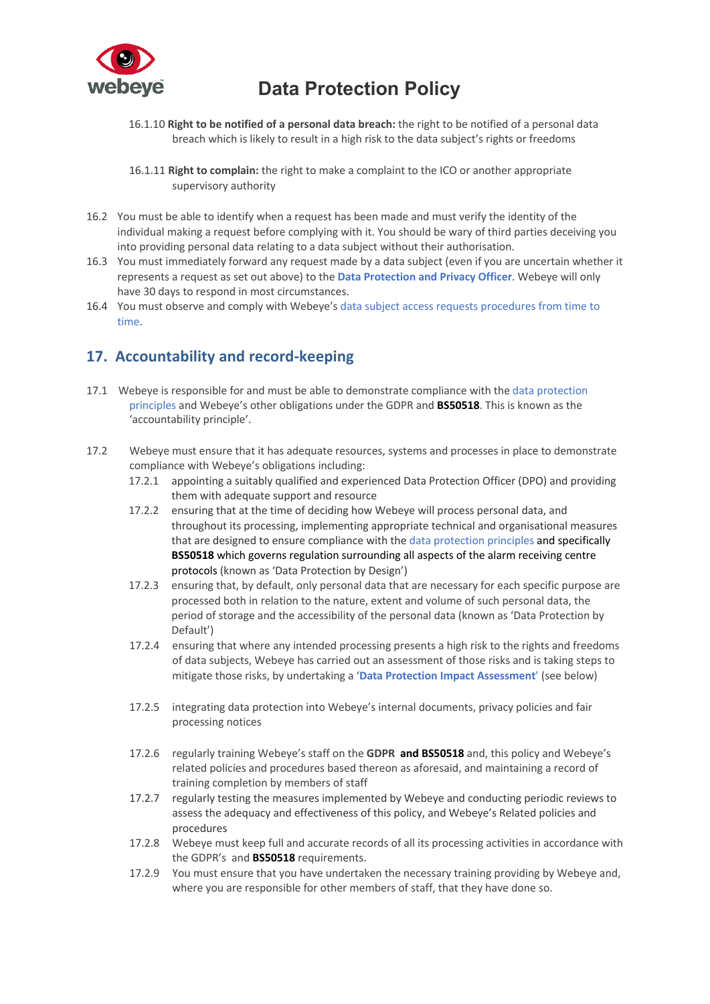

- 16.1.10 **Right to be notified of a personal data breach:** the right to be notified of a personal data breach which is likely to result in a high risk to the data subject's rights or freedoms
- 16.1.11 **Right to complain:** the right to make a complaint to the ICO or another appropriate supervisory authority
- 16.2 You must be able to identify when a request has been made and must verify the identity of the individual making a request before complying with it. You should be wary of third parties deceiving you into providing personal data relating to a data subject without their authorisation.
- 16.3 You must immediately forward any request made by a data subject (even if you are uncertain whether it represents a request as set out above) to the **Data Protection and Privacy Officer**. Webeye will only have 30 days to respond in most circumstances.
- 16.4 You must observe and comply with Webeye's data subject access requests procedures from time to time.

## **17. Accountability and record-keeping**

- 17.1 Webeye is responsible for and must be able to demonstrate compliance with the data protection principles and Webeye's other obligations under the GDPR and **BS50518**. This is known as the 'accountability principle'.
- 17.2 Webeye must ensure that it has adequate resources, systems and processes in place to demonstrate compliance with Webeye's obligations including:
	- 17.2.1 appointing a suitably qualified and experienced Data Protection Officer (DPO) and providing them with adequate support and resource
	- 17.2.2 ensuring that at the time of deciding how Webeye will process personal data, and throughout its processing, implementing appropriate technical and organisational measures that are designed to ensure compliance with the data protection principles and specifically **BS50518** which governs regulation surrounding all aspects of the alarm receiving centre protocols (known as 'Data Protection by Design')
	- 17.2.3 ensuring that, by default, only personal data that are necessary for each specific purpose are processed both in relation to the nature, extent and volume of such personal data, the period of storage and the accessibility of the personal data (known as 'Data Protection by Default')
	- 17.2.4 ensuring that where any intended processing presents a high risk to the rights and freedoms of data subjects, Webeye has carried out an assessment of those risks and is taking steps to mitigate those risks, by undertaking a '**Data Protection Impact Assessment**' (see below)
	- 17.2.5 integrating data protection into Webeye's internal documents, privacy policies and fair processing notices
	- 17.2.6 regularly training Webeye's staff on the **GDPR and BS50518** and, this policy and Webeye's related policies and procedures based thereon as aforesaid, and maintaining a record of training completion by members of staff
	- 17.2.7 regularly testing the measures implemented by Webeye and conducting periodic reviews to assess the adequacy and effectiveness of this policy, and Webeye's Related policies and procedures
	- 17.2.8 Webeye must keep full and accurate records of all its processing activities in accordance with the GDPR's and **BS50518** requirements.
	- 17.2.9 You must ensure that you have undertaken the necessary training providing by Webeye and, where you are responsible for other members of staff, that they have done so.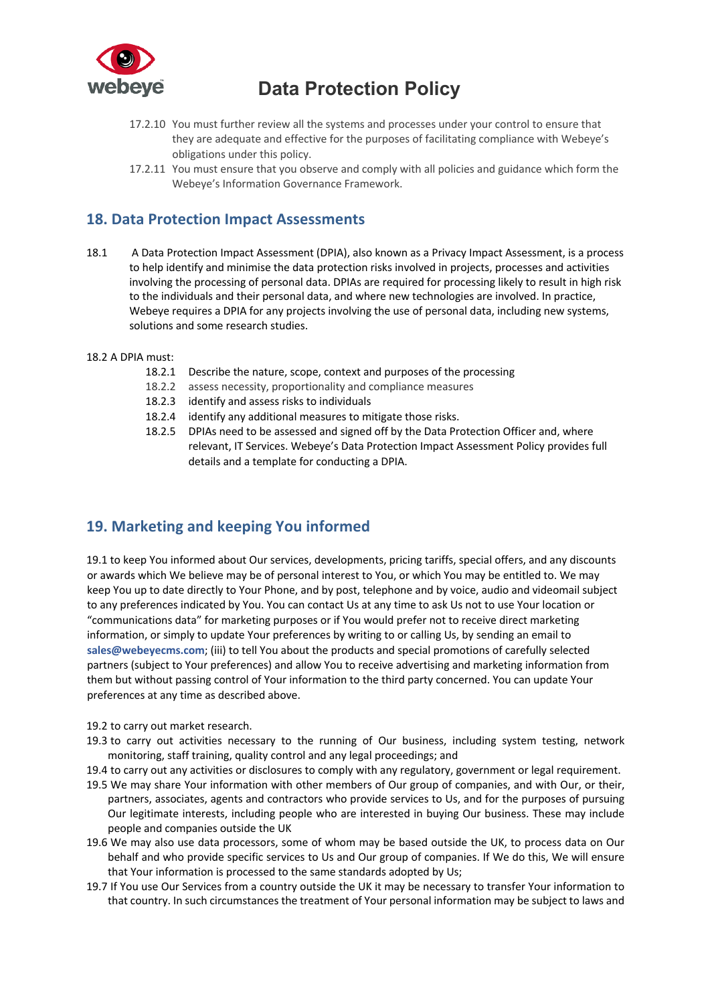

- 17.2.10 You must further review all the systems and processes under your control to ensure that they are adequate and effective for the purposes of facilitating compliance with Webeye's obligations under this policy.
- 17.2.11 You must ensure that you observe and comply with all policies and guidance which form the Webeye's Information Governance Framework.

## **18. Data Protection Impact Assessments**

- 18.1 A Data Protection Impact Assessment (DPIA), also known as a Privacy Impact Assessment, is a process to help identify and minimise the data protection risks involved in projects, processes and activities involving the processing of personal data. DPIAs are required for processing likely to result in high risk to the individuals and their personal data, and where new technologies are involved. In practice, Webeye requires a DPIA for any projects involving the use of personal data, including new systems, solutions and some research studies.
- 18.2 A DPIA must:
	- 18.2.1 Describe the nature, scope, context and purposes of the processing
	- 18.2.2 assess necessity, proportionality and compliance measures
	- 18.2.3 identify and assess risks to individuals
	- 18.2.4 identify any additional measures to mitigate those risks.
	- 18.2.5 DPIAs need to be assessed and signed off by the Data Protection Officer and, where relevant, IT Services. Webeye's Data Protection Impact Assessment Policy provides full details and a template for conducting a DPIA.

## **19. Marketing and keeping You informed**

19.1 to keep You informed about Our services, developments, pricing tariffs, special offers, and any discounts or awards which We believe may be of personal interest to You, or which You may be entitled to. We may keep You up to date directly to Your Phone, and by post, telephone and by voice, audio and videomail subject to any preferences indicated by You. You can contact Us at any time to ask Us not to use Your location or "communications data" for marketing purposes or if You would prefer not to receive direct marketing information, or simply to update Your preferences by writing to or calling Us, by sending an email to **sales@webeyecms.com**; (iii) to tell You about the products and special promotions of carefully selected partners (subject to Your preferences) and allow You to receive advertising and marketing information from them but without passing control of Your information to the third party concerned. You can update Your preferences at any time as described above.

- 19.2 to carry out market research.
- 19.3 to carry out activities necessary to the running of Our business, including system testing, network monitoring, staff training, quality control and any legal proceedings; and
- 19.4 to carry out any activities or disclosures to comply with any regulatory, government or legal requirement.
- 19.5 We may share Your information with other members of Our group of companies, and with Our, or their, partners, associates, agents and contractors who provide services to Us, and for the purposes of pursuing Our legitimate interests, including people who are interested in buying Our business. These may include people and companies outside the UK
- 19.6 We may also use data processors, some of whom may be based outside the UK, to process data on Our behalf and who provide specific services to Us and Our group of companies. If We do this, We will ensure that Your information is processed to the same standards adopted by Us;
- 19.7 If You use Our Services from a country outside the UK it may be necessary to transfer Your information to that country. In such circumstances the treatment of Your personal information may be subject to laws and